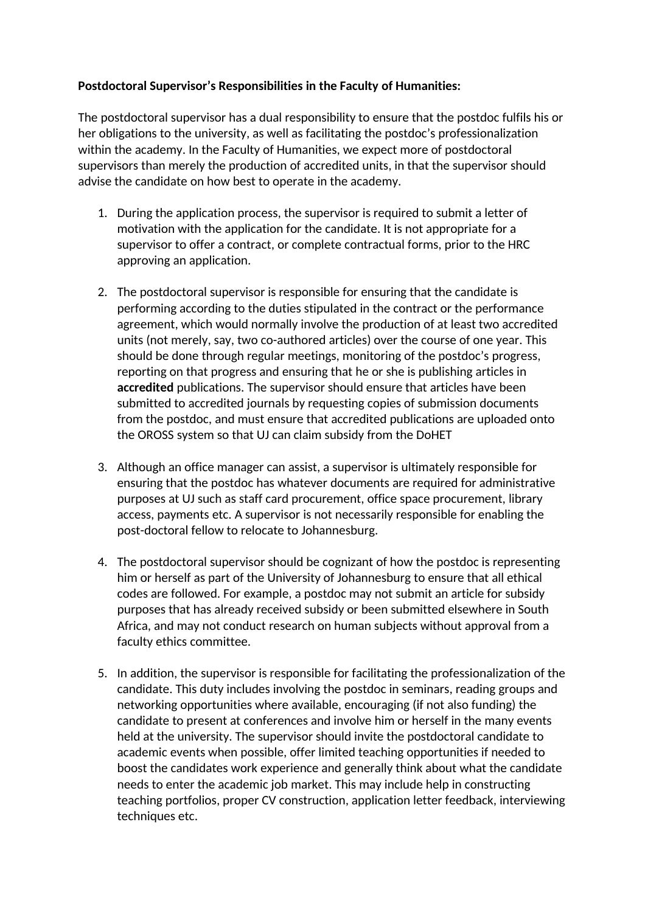## **Postdoctoral Supervisor's Responsibilities in the Faculty of Humanities:**

The postdoctoral supervisor has a dual responsibility to ensure that the postdoc fulfils his or her obligations to the university, as well as facilitating the postdoc's professionalization within the academy. In the Faculty of Humanities, we expect more of postdoctoral supervisors than merely the production of accredited units, in that the supervisor should advise the candidate on how best to operate in the academy.

- 1. During the application process, the supervisor is required to submit a letter of motivation with the application for the candidate. It is not appropriate for a supervisor to offer a contract, or complete contractual forms, prior to the HRC approving an application.
- 2. The postdoctoral supervisor is responsible for ensuring that the candidate is performing according to the duties stipulated in the contract or the performance agreement, which would normally involve the production of at least two accredited units (not merely, say, two co-authored articles) over the course of one year. This should be done through regular meetings, monitoring of the postdoc's progress, reporting on that progress and ensuring that he or she is publishing articles in **accredited** publications. The supervisor should ensure that articles have been submitted to accredited journals by requesting copies of submission documents from the postdoc, and must ensure that accredited publications are uploaded onto the OROSS system so that UJ can claim subsidy from the DoHET
- 3. Although an office manager can assist, a supervisor is ultimately responsible for ensuring that the postdoc has whatever documents are required for administrative purposes at UJ such as staff card procurement, office space procurement, library access, payments etc. A supervisor is not necessarily responsible for enabling the post-doctoral fellow to relocate to Johannesburg.
- 4. The postdoctoral supervisor should be cognizant of how the postdoc is representing him or herself as part of the University of Johannesburg to ensure that all ethical codes are followed. For example, a postdoc may not submit an article for subsidy purposes that has already received subsidy or been submitted elsewhere in South Africa, and may not conduct research on human subjects without approval from a faculty ethics committee.
- 5. In addition, the supervisor is responsible for facilitating the professionalization of the candidate. This duty includes involving the postdoc in seminars, reading groups and networking opportunities where available, encouraging (if not also funding) the candidate to present at conferences and involve him or herself in the many events held at the university. The supervisor should invite the postdoctoral candidate to academic events when possible, offer limited teaching opportunities if needed to boost the candidates work experience and generally think about what the candidate needs to enter the academic job market. This may include help in constructing teaching portfolios, proper CV construction, application letter feedback, interviewing techniques etc.